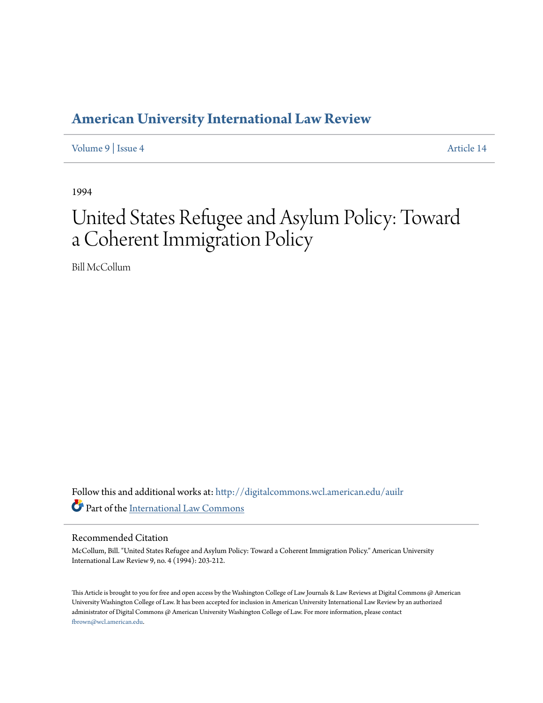## **[American University International Law Review](http://digitalcommons.wcl.american.edu/auilr?utm_source=digitalcommons.wcl.american.edu%2Fauilr%2Fvol9%2Fiss4%2F14&utm_medium=PDF&utm_campaign=PDFCoverPages)**

[Volume 9](http://digitalcommons.wcl.american.edu/auilr/vol9?utm_source=digitalcommons.wcl.american.edu%2Fauilr%2Fvol9%2Fiss4%2F14&utm_medium=PDF&utm_campaign=PDFCoverPages) | [Issue 4](http://digitalcommons.wcl.american.edu/auilr/vol9/iss4?utm_source=digitalcommons.wcl.american.edu%2Fauilr%2Fvol9%2Fiss4%2F14&utm_medium=PDF&utm_campaign=PDFCoverPages) [Article 14](http://digitalcommons.wcl.american.edu/auilr/vol9/iss4/14?utm_source=digitalcommons.wcl.american.edu%2Fauilr%2Fvol9%2Fiss4%2F14&utm_medium=PDF&utm_campaign=PDFCoverPages)

1994

# United States Refugee and Asylum Policy: Toward a Coherent Immigration Policy

Bill McCollum

Follow this and additional works at: [http://digitalcommons.wcl.american.edu/auilr](http://digitalcommons.wcl.american.edu/auilr?utm_source=digitalcommons.wcl.american.edu%2Fauilr%2Fvol9%2Fiss4%2F14&utm_medium=PDF&utm_campaign=PDFCoverPages) Part of the [International Law Commons](http://network.bepress.com/hgg/discipline/609?utm_source=digitalcommons.wcl.american.edu%2Fauilr%2Fvol9%2Fiss4%2F14&utm_medium=PDF&utm_campaign=PDFCoverPages)

#### Recommended Citation

McCollum, Bill. "United States Refugee and Asylum Policy: Toward a Coherent Immigration Policy." American University International Law Review 9, no. 4 (1994): 203-212.

This Article is brought to you for free and open access by the Washington College of Law Journals & Law Reviews at Digital Commons @ American University Washington College of Law. It has been accepted for inclusion in American University International Law Review by an authorized administrator of Digital Commons @ American University Washington College of Law. For more information, please contact [fbrown@wcl.american.edu](mailto:fbrown@wcl.american.edu).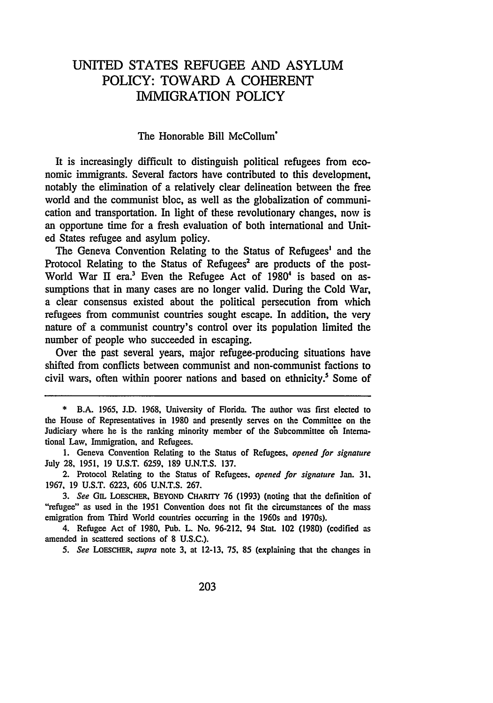### UNITED **STATES REFUGEE AND ASYLUM** POLICY: TOWARD **A COHERENT** IMMIGRATION POLICY

#### The Honorable Bill McCollum'

It is increasingly difficult to distinguish political refugees from economic immigrants. Several factors have contributed to this development, notably the elimination of a relatively clear delineation between the free world and the communist bloc, as well as the globalization of communication and transportation. In light of these revolutionary changes, now is an opportune time for a fresh evaluation of both international and United States refugee and asylum policy.

The Geneva Convention Relating to the Status of Refugees' and the Protocol Relating to the Status of Refugees<sup>2</sup> are products of the post-World War II era.<sup>3</sup> Even the Refugee Act of 1980<sup>4</sup> is based on assumptions that in many cases are no longer valid. During the Cold War, a clear consensus existed about the political persecution from which refugees from communist countries sought escape. In addition, the very nature of a communist country's control over its population limited the number of people who succeeded in escaping.

Over the past several years, major refugee-producing situations have shifted from conflicts between communist and non-communist factions to civil wars, often within poorer nations and based on ethnicity.' Some of

4. Refugee Act of **1980,** Pub. L. No. 96-212, 94 Stat. 102 (1980) (codified as amended in scattered sections of **8** U.S.C.).

*5. See LOESCHER, supra* note **3,** at 12-13, 75, **85** (explaining that the changes in

<sup>\*</sup> B.A. **1965, J.D. 1968,** University of Florida. **The** author was first elected to the House of Representatives in **1980** and presently serves on the Committee on the Judiciary where he is the ranking minority member of the Subcommittee on International Law, Immigration, and Refugees.

**<sup>1.</sup>** Geneva Convention Relating to the Status of Refugees, **opened for signature** July **28,** 1951, 19 U.S.T. 6259, 189 U.N.T.S. 137.

<sup>2.</sup> Protocol Relating to the Status of Refugees, *opened for signature* Jan. **31.** 1967, 19 U.S.T. 6223, 606 U.N.T.S. 267.

*<sup>3.</sup> See* **GnL LOESCHER, BEYOND CHARrrY 76 (1993)** (noting that the definition of "refugee" as used in the **1951** Convention does not fit the circumstances of the mass emigration from Third World countries occurring in the 1960s and 1970s).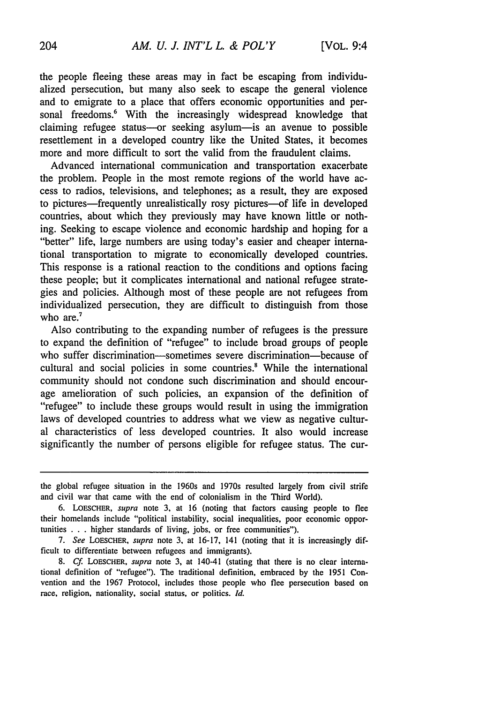the people fleeing these areas may in fact be escaping from individualized persecution, but many also seek to escape the general violence and to emigrate to a place that offers economic opportunities and personal freedoms.<sup>6</sup> With the increasingly widespread knowledge that claiming refugee status----or seeking asylum----is an avenue to possible resettlement in a developed country like the United States, it becomes more and more difficult to sort the valid from the fraudulent claims.

Advanced international communication and transportation exacerbate the problem. People in the most remote regions of the world have access to radios, televisions, and telephones; as a result, they are exposed to pictures—frequently unrealistically rosy pictures—of life in developed countries, about which they previously may have known little or nothing. Seeking to escape violence and economic hardship and hoping for a "better" life, large numbers are using today's easier and cheaper international transportation to migrate to economically developed countries. This response is a rational reaction to the conditions and options facing these people; but it complicates international and national refugee strategies and policies. Although most of these people are not refugees from individualized persecution, they are difficult to distinguish from those who are.<sup>7</sup>

Also contributing to the expanding number of refugees is the pressure to expand the definition of "refugee" to include broad groups of people who suffer discrimination-sometimes severe discrimination-because of cultural and social policies in some countries.' While the international community should not condone such discrimination and should encourage amelioration of such policies, an expansion of the definition of "refugee" to include these groups would result in using the immigration laws of developed countries to address what we view as negative cultural characteristics of less developed countries. It also would increase significantly the number of persons eligible for refugee status. The cur-

the global refugee situation in the 1960s and 1970s resulted largely from civil strife and civil war that came with the end of colonialism in the Third World).

<sup>6.</sup> LOESCHER, supra note 3, at 16 (noting that factors causing people to flee their homelands include "political instability, social inequalities, poor economic opportunities . . . higher standards of living, jobs, or free communities").

*<sup>7.</sup>* See LOESCHER, supra note 3, at 16-17, 141 (noting that it is increasingly difficult to differentiate between refugees and immigrants).

*<sup>8.</sup> Cf* LOSCHER, supra note 3, at 140-41 (stating that there is no clear international definition of "refugee"). The traditional definition, embraced by the 1951 Convention and the 1967 Protocol, includes those people who flee persecution based on race, religion, nationality, social status, or politics. *Id.*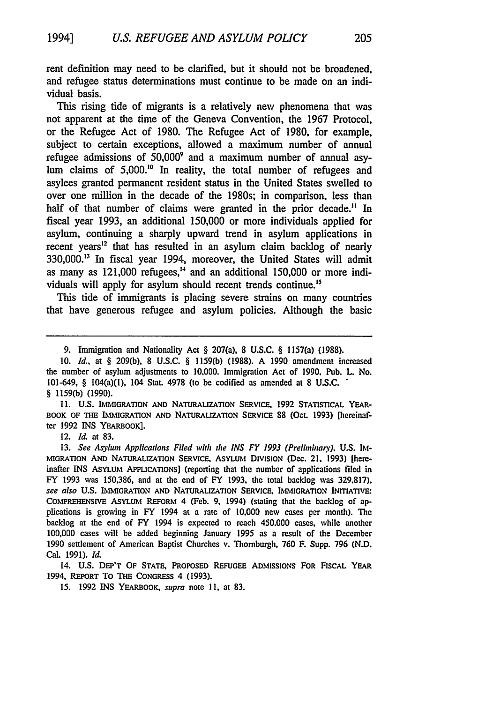rent definition may need to be clarified, but it should not be broadened, and refugee status determinations must continue to be made on an individual basis.

This rising tide of migrants is a relatively new phenomena that was not apparent at the time of the Geneva Convention, the **1967** Protocol, or the Refugee Act of **1980.** The Refugee Act of **1980,** for example, subject to certain exceptions, allowed a maximum number of annual refugee admissions of **50,000'** and a maximum number of annual asylum claims of 5,000.<sup>10</sup> In reality, the total number of refugees and asylees granted permanent resident status in the United States swelled to over one million in the decade of the 1980s; in comparison, less than half of that number of claims were granted in the prior decade.<sup>11</sup> In fiscal year **1993,** an additional **150,000** or more individuals applied for asylum, continuing a sharply upward trend in asylum applications in recent years<sup>12</sup> that has resulted in an asylum claim backlog of nearly **330,000."3** In fiscal year 1994, moreover, the United States will admit as many as 121,000 refugees," and an additional **150,000** or more individuals **will** apply for asylum should recent trends continue."

This tide of immigrants is placing severe strains on many countries that have generous refugee and asylum policies. Although the basic

**11. U.S.** IMIGRATION **AND** NATURALIZATION SERVICE. **1992** STATISTICAL YEAR-BOOK OF THE IMMIGRATION AND NATURALIZATION SERVICE 88 (Oct. 1993) [hereinafter 1992 INS YEARBOOK].

12. *Id.* at 83.

13. *See Asylum Applications Filed* **with** *the INS FY 1993 (Preliminan9.* **U.S.** IM-MIGRATION AND NATURALIZATION SERvICE, AsYLUM DivistoN (Dec. 21. **1993)** [hereinafter **INS** ASYLUM APPLICATIONS] (reporting that the number of applications **filed** in FY 1993 was 150,386, and at the end of FY 1993, the total backlog was 329.817). *see* also **U.S.** IMIGRATION AND NATURALIZATION SERVICE, IMMIGRATION **INMATIVE:** COMPREHENSIvE ASYLUM REFORM 4 (Feb. **9,** 1994) (stating that the backlog **of** applications is growing in FY 1994 at a rate of **10.000** new cases per month). **The** backlog at the end of FY 1994 is expected to reach 450.000 cases, while another **100,000** cases will **be** added beginning January **1995** as a result of the December 1990 settlement of American Baptist Churches v. Thomburgh. **760** F. Supp. 796 (N.D. Cal. 1991). *Id.*

14. **U.S.** DEP'T OF STATE, PROPOSED REFUGEE ADMISSIONs FOR FISCAL YEAR 1994, REPORT To THE CONGREss 4 (1993).

15. 1992 INS YEARBOOK, **supra** note **11.** at 83.

<sup>9.</sup> Immigration and Nationality Act § 207(a). 8 **U.S.C.** § 1157(a) **(1988).**

<sup>10.</sup> Id., at § 209(b), 8 U.S.C. § I159(b) (1988). A 1990 amendment increased the number of asylum adjustments to **10.000.** Immigration Act of **1990.** Pub. L No. 101-649, § 104(a)(1), 104 Stat. 4978 (to be codified as amended at 8 **U.S.C.** § 1159(b) (1990).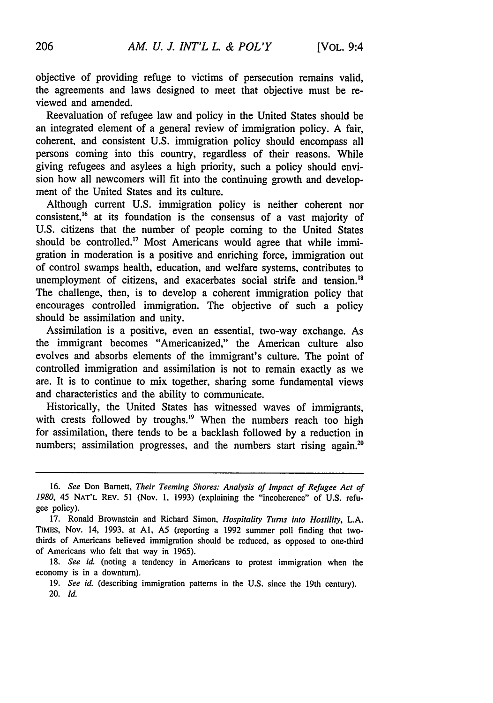objective of providing refuge to victims of persecution remains valid, the agreements and laws designed to meet that objective must be reviewed and amended.

Reevaluation of refugee law and policy in the United States should be an integrated element of a general review of immigration policy. A fair, coherent, and consistent U.S. immigration policy should encompass all persons coming into this country, regardless of their reasons. While giving refugees and asylees a high priority, such a policy should envision how all newcomers will fit into the continuing growth and development of the United States and its culture.

Although current U.S. immigration policy is neither coherent nor consistent,<sup>16</sup> at its foundation is the consensus of a vast majority of U.S. citizens that the number of people coming to the United States should be controlled.<sup>17</sup> Most Americans would agree that while immigration in moderation is a positive and enriching force, immigration out of control swamps health, education, and welfare systems, contributes to unemployment of citizens, and exacerbates social strife and tension.<sup>18</sup> The challenge, then, is to develop a coherent immigration policy that encourages controlled immigration. The objective of such a policy should be assimilation and unity.

Assimilation is a positive, even an essential, two-way exchange. As the immigrant becomes "Americanized," the American culture also evolves and absorbs elements of the immigrant's culture. The point of controlled immigration and assimilation is not to remain exactly as we are. It is to continue to mix together, sharing some fundamental views and characteristics and the ability to communicate.

Historically, the United States has witnessed waves of immigrants, with crests followed by troughs.<sup>19</sup> When the numbers reach too high for assimilation, there tends to be a backlash followed by a reduction in numbers; assimilation progresses, and the numbers start rising again.<sup>20</sup>

<sup>16.</sup> *See* Don Barnett, *Their Teeming Shores: Analysis of Impact of Refugee Act of 1980,* 45 NAT'L REv. 51 (Nov. **1,** 1993) (explaining the "incoherence" of U.S. refugee policy).

<sup>17.</sup> Ronald Brownstein and Richard Simon, *Hospitality Turns into Hostility,* L.A. TIMES, Nov. 14, 1993, at **Al, A5** (reporting a 1992 summer poll finding that twothirds of Americans believed immigration should be reduced, as opposed to one-third of Americans who felt that way in 1965).

<sup>18.</sup> *See id.* (noting a tendency in Americans to protest immigration when the economy is in a downturn).

<sup>19.</sup> *See id.* (describing immigration patterns in the U.S. since the 19th century). 20. *Id.*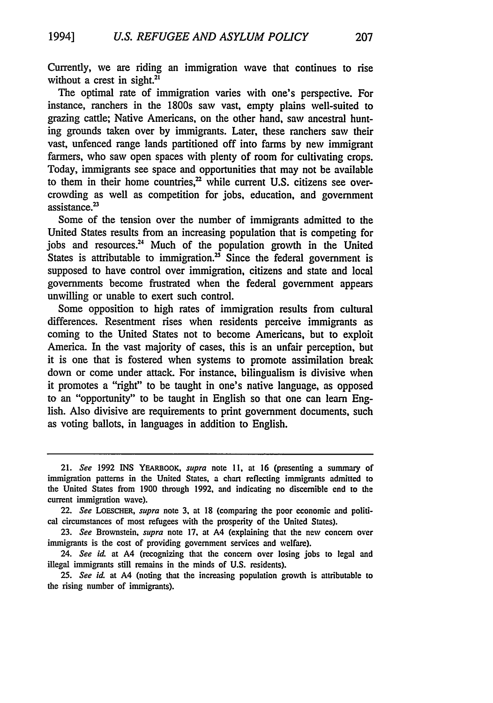Currently, we are riding an immigration wave that continues to rise without a crest in sight. $21$ 

The optimal rate of immigration varies with one's perspective. For instance, ranchers in the 1800s saw vast, empty plains well-suited to grazing cattle; Native Americans, on the other hand, saw ancestral hunting grounds taken over by immigrants. Later, these ranchers saw their vast, unfenced range lands partitioned off into farms by new immigrant farmers, who saw open spaces with plenty of room for cultivating crops. Today, immigrants see space and opportunities that may not be available to them in their home countries, $<sup>22</sup>$  while current U.S. citizens see over-</sup> crowding as well as competition for jobs, education, and government assistance.<sup>23</sup>

Some of the tension over the number of immigrants admitted to the United States results from an increasing population that is competing for jobs and resources." Much of the population growth in the United States is attributable to immigration.<sup>25</sup> Since the federal government is supposed to have control over immigration, citizens and state and local governments become frustrated when the federal government appears unwilling or unable to exert such control.

Some opposition to high rates of immigration results from cultural differences. Resentment rises when residents perceive immigrants as coming to the United States not to become Americans, but to exploit America. In the vast majority of cases, this is an unfair perception, but it is one that is fostered when systems to promote assimilation break down or come under attack. For instance, bilingualism is divisive when it promotes a "right" to be taught in one's native language, as opposed to an "opportunity" to be taught in English so that one can learn English. Also divisive are requirements to print government documents, such as voting ballots, in languages in addition to English.

24. *See id.* at A4 (recognizing that the concern over losing jobs to legal and illegal immigrants still remains in the minds of U.S. residents).

*25. See id.* at A4 (noting that the increasing population growth is attributable to the rising number of immigrants).

<sup>21.</sup> *See* **1992** INS YEARBOOK, *supra* note **11.** at 16 (presenting a summary of immigration patterns in the United States, a chart reflecting immigrants admitted to the United States from 1900 through 1992, and indicating no discernible end to the current immigration wave).

<sup>22.</sup> *See* LOESCHER, *supra* note 3, at 18 (comparing the poor economic and political circumstances of most refugees with the prosperity of the United States).

<sup>23.</sup> *See* Brownstein, *supra* note 17, at A4 (explaining that the new concern over immigrants is the cost of providing government services and welfare).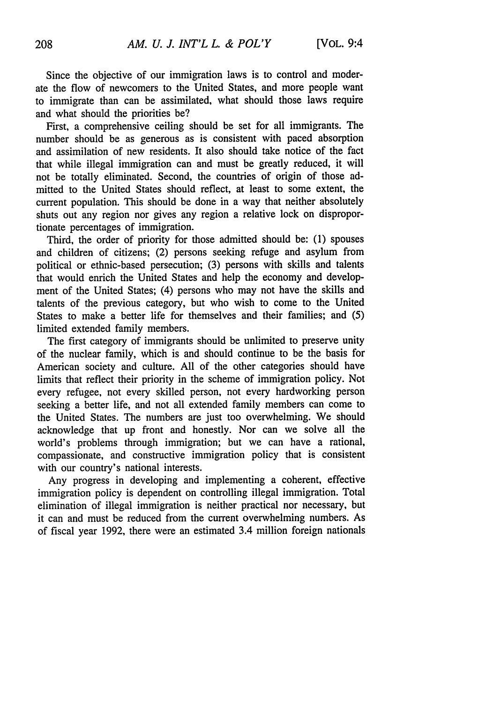Since the objective of our immigration laws is to control and moderate the flow of newcomers to the United States, and more people want to immigrate than can be assimilated, what should those laws require and what should the priorities be?

First, a comprehensive ceiling should be set for all immigrants. The number should be as generous as is consistent with paced absorption and assimilation of new residents. It also should take notice of the fact that while illegal immigration can and must be greatly reduced, it will not be totally eliminated. Second, the countries of origin of those admitted to the United States should reflect, at least to some extent, the current population. This should be done in a way that neither absolutely shuts out any region nor gives any region a relative lock on disproportionate percentages of immigration.

Third, the order of priority for those admitted should be: (1) spouses and children of citizens; (2) persons seeking refuge and asylum from political or ethnic-based persecution; (3) persons with skills and talents that would enrich the United States and help the economy and development of the United States; (4) persons who may not have the skills and talents of the previous category, but who wish to come to the United States to make a better life for themselves and their families; and (5) limited extended family members.

The first category of immigrants should be unlimited to preserve unity of the nuclear family, which is and should continue to be the basis for American society and culture. All of the other categories should have limits that reflect their priority in the scheme of immigration policy. Not every refugee, not every skilled person, not every hardworking person seeking a better life, and not all extended family members can come to the United States. The numbers are just too overwhelming. We should acknowledge that up front and honestly. Nor can we solve all the world's problems through immigration; but we can have a rational, compassionate, and constructive immigration policy that is consistent with our country's national interests.

Any progress in developing and implementing a coherent, effective immigration policy is dependent on controlling illegal immigration. Total elimination of illegal immigration is neither practical nor necessary, but it can and must be reduced from the current overwhelming numbers. As of fiscal year 1992, there were an estimated 3.4 million foreign nationals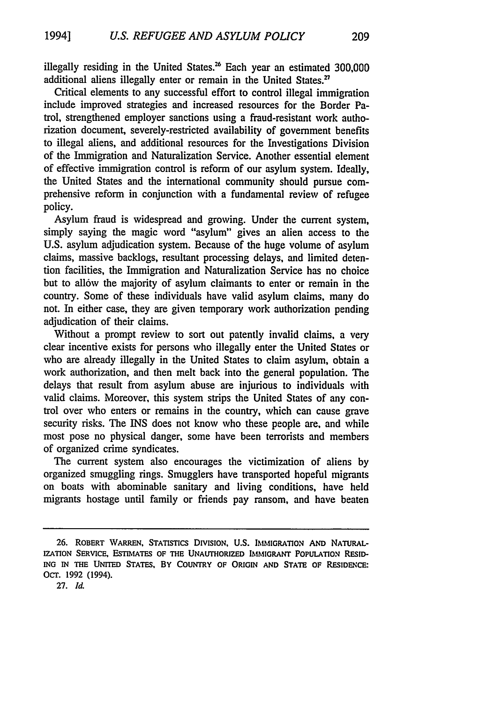illegally residing in the United States.<sup>26</sup> Each year an estimated  $300,000$ additional aliens illegally enter or remain in the United States.<sup>27</sup>

Critical elements to any successful effort to control illegal immigration include improved strategies and increased resources for the Border Patrol, strengthened employer sanctions using a fraud-resistant work authorization document, severely-restricted availability of government benefits to illegal aliens, and additional resources for the Investigations Division of the Immigration and Naturalization Service. Another essential element of effective immigration control is reform of our asylum system. Ideally, the United States and the international community should pursue comprehensive reform in conjunction with a fundamental review of refugee policy.

Asylum fraud is widespread and growing. Under the current system, simply saying the magic word "asylum" gives an alien access to the U.S. asylum adjudication system. Because of the huge volume of asylum claims, massive backlogs, resultant processing delays, and limited detention facilities, the Immigration and Naturalization Service has no choice but to allow the majority of asylum claimants to enter or remain in the country. Some of these individuals have valid asylum claims, many do not. In either case, they are given temporary work authorization pending adjudication of their claims.

Without a prompt review to sort out patently invalid claims, a very clear incentive exists for persons who illegally enter the United States or who are already illegally in the United States to claim asylum, obtain a work authorization, and then melt back into the general population. The delays that result from asylum abuse are injurious to individuals with valid claims. Moreover, this system strips the United States of any control over who enters or remains in the country, which can cause grave security risks. The INS does not know who these people are, and while most pose no physical danger, some have been terrorists and members of organized crime syndicates.

The current system also encourages the victimization of aliens by organized smuggling rings. Smugglers have transported hopeful migrants on boats with abominable sanitary and living conditions, have held migrants hostage until family or friends pay ransom, and have beaten

<sup>26.</sup> **ROBERT** VARREN, **STATISTICS** DIvIsION, **U.S.** IMMIGRATION **AND** NATURAL-IZATION SERVICE, **ESTIMATES OF THE UNAUTHORIZED** IMMIGRANT **POPULATION RESID-**ING IN **THE** UNITED STATES, BY COUNTRY **OF** ORIGIN **AND STATE OF RESIDENCE:** Ocr. **1992** (1994).

**<sup>27.</sup>** *1l*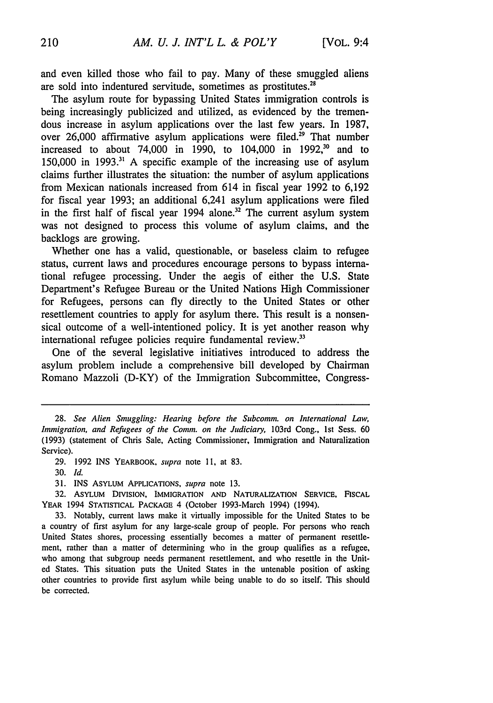and even killed those who fail to pay. Many of these smuggled aliens are sold into indentured servitude, sometimes as prostitutes.<sup>21</sup>

The asylum route for bypassing United States immigration controls is being increasingly publicized and utilized, as evidenced by the tremendous increase in asylum applications over the last few years. In 1987, over 26,000 affirmative asylum applications were filed.<sup>29</sup> That number increased to about 74,000 in 1990, to 104,000 in 1992,<sup>30</sup> and to 150,000 in **1993.31** A specific example of the increasing use of asylum claims further illustrates the situation: the number of asylum applications from Mexican nationals increased from 614 in fiscal year 1992 to 6,192 for fiscal year 1993; an additional 6,241 asylum applications were filed in the first half of fiscal year  $1994$  alone.<sup>32</sup> The current asylum system was not designed to process this volume of asylum claims, and the backlogs are growing.

Whether one has a valid, questionable, or baseless claim to refugee status, current laws and procedures encourage persons to bypass international refugee processing. Under the aegis of either the U.S. State Department's Refugee Bureau or the United Nations High Commissioner for Refugees, persons can fly directly to the United States or other resettlement countries to apply for asylum there. This result is a nonsensical outcome of a well-intentioned policy. It is yet another reason why international refugee policies require fundamental review.<sup>33</sup>

One of the several legislative initiatives introduced to address the asylum problem include a comprehensive bill developed by Chairman Romano Mazzoli (D-KY) of the Immigration Subcommittee, Congress-

<sup>28.</sup> *See Alien Smuggling: Hearing before the Subcomm. on International Law, Immigration, and Refugees of the Comm. on the Judiciary, 103rd Cong., 1st Sess. 60* (1993) (statement of Chris Sale, Acting Commissioner, Immigration and Naturalization Service).

<sup>29. 1992</sup> INS YEARBOOK, *supra* note **1I,** at 83.

*<sup>30.</sup> Id.*

**<sup>31.</sup> INS** ASYLUM **APPLICATIONS,** *supra* note 13.

**<sup>32.</sup>** ASYLUM DIVISION, IMMIGRATION **AND NATURALIZATION SERVICE,** FISCAL YEAR 1994 **STATISTICAL PACKAGE** 4 (October 1993-March 1994) (1994).

<sup>33.</sup> Notably, current laws make it virtually impossible for the United States to be a country of first asylum for any large-scale group of people. For persons who reach United States shores, processing essentially becomes a matter of permanent resettlement, rather than a matter of determining who in the group qualifies as a refugee, who among that subgroup needs permanent resettlement, and who resettle in the United States. This situation puts the United States in the untenable position of asking other countries to provide first asylum while being unable to do so itself. This should be corrected.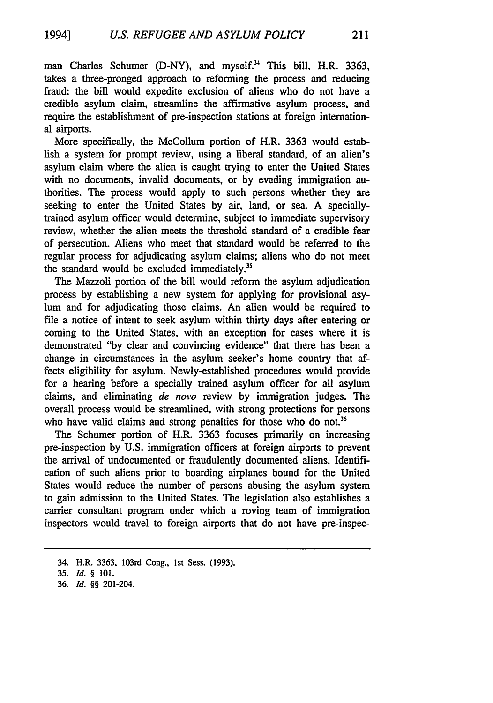man Charles Schumer (D-NY), and myself.<sup>34</sup> This bill, H.R. 3363, takes a three-pronged approach to reforming the process and reducing fraud: the bill would expedite exclusion of aliens who do not have a credible asylum claim, streamline the affirmative asylum process, and require the establishment of pre-inspection stations at foreign international airports.

More specifically, the McCollum portion of H.R. 3363 would establish a system for prompt review, using a liberal standard, of an alien's asylum claim where the alien is caught trying to enter the United States with no documents, invalid documents, or by evading immigration authorities. The process would apply to such persons whether they are seeking to enter the United States by air, land, or sea. A speciallytrained asylum officer would determine, subject to immediate supervisory review, whether the alien meets the threshold standard of a credible fear of persecution. Aliens who meet that standard would be referred to the regular process for adjudicating asylum claims; aliens who do not meet the standard would be excluded immediately.<sup>35</sup>

The Mazzoli portion of the bill would reform the asylum adjudication process by establishing a new system for applying for provisional asylum and for adjudicating those claims. An alien would be required to file a notice of intent to seek asylum within thirty days after entering or coming to the United States, with an exception for cases where it is demonstrated "by clear and convincing evidence" that there has been a change in circumstances in the asylum seeker's home country that affects eligibility for asylum. Newly-established procedures would provide for a hearing before a specially trained asylum officer for all asylum claims, and eliminating *de* novo review by immigration judges. The overall process would be streamlined, with strong protections for persons who have valid claims and strong penalties for those who do not.<sup>35</sup>

The Schumer portion of H.R. 3363 focuses primarily on increasing pre-inspection by U.S. immigration officers at foreign airports to prevent the arrival of undocumented or fraudulently documented aliens. Identification of such aliens prior to boarding airplanes bound for the United States would reduce the number of persons abusing the asylum system to gain admission to the United States. The legislation also establishes a carrier consultant program under which a roving team of immigration inspectors would travel to foreign airports that do not have pre-inspec-

36. *Id. §§* 201-204.

<sup>34.</sup> H.R. 3363, 103rd Cong., 1st Sess. (1993).

**<sup>35.</sup>** *Id. §* 101.